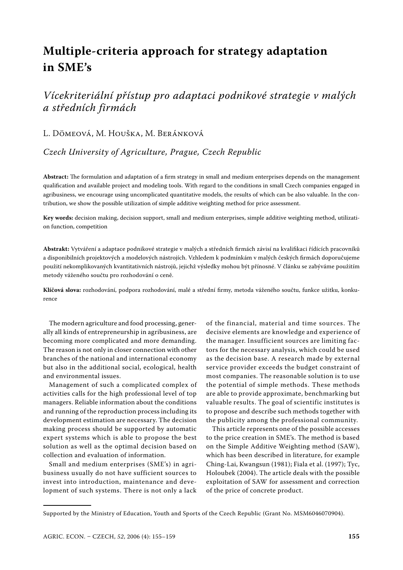# **Multiple-criteria approach for strategy adaptation in SME's**

## *Vícekriteriální přístup pro adaptaci podnikové strategie v malých a středních firmách*

L. DÖMEOVÁ, M. HOUŠKA, M. BERÁNKOVÁ

*Czech University of Agriculture, Prague, Czech Republic*

**Abstract:** The formulation and adaptation of a firm strategy in small and medium enterprises depends on the management qualification and available project and modeling tools. With regard to the conditions in small Czech companies engaged in agribusiness, we encourage using uncomplicated quantitative models, the results of which can be also valuable. In the contribution, we show the possible utilization of simple additive weighting method for price assessment.

**Key words:** decision making, decision support, small and medium enterprises, simple additive weighting method, utilization function, competition

**Abstrakt:** Vytváření a adaptace podnikové strategie v malých a středních firmách závisí na kvalifikaci řídících pracovníků a disponibilních projektových a modelových nástrojích. Vzhledem k podmínkám v malých českých firmách doporučujeme použití nekomplikovaných kvantitativních nástrojů, jejichž výsledky mohou být přínosné. V článku se zabýváme použitím metody váženého součtu pro rozhodování o ceně.

**Klíčová slova:** rozhodování, podpora rozhodování, malé a střední firmy, metoda váženého součtu, funkce užitku, konkurence

The modern agriculture and food processing, generally all kinds of entrepreneurship in agribusiness, are becoming more complicated and more demanding. The reason is not only in closer connection with other branches of the national and international economy but also in the additional social, ecological, health and environmental issues.

Management of such a complicated complex of activities calls for the high professional level of top managers. Reliable information about the conditions and running of the reproduction process including its development estimation are necessary. The decision making process should be supported by automatic expert systems which is able to propose the best solution as well as the optimal decision based on collection and evaluation of information.

Small and medium enterprises (SME's) in agribusiness usually do not have sufficient sources to invest into introduction, maintenance and development of such systems. There is not only a lack

of the financial, material and time sources. The decisive elements are knowledge and experience of the manager. Insufficient sources are limiting factors for the necessary analysis, which could be used as the decision base. A research made by external service provider exceeds the budget constraint of most companies. The reasonable solution is to use the potential of simple methods. These methods are able to provide approximate, benchmarking but valuable results. The goal of scientific institutes is to propose and describe such methods together with the publicity among the professional community.

This article represents one of the possible accesses to the price creation in SME's. The method is based on the Simple Additive Weighting method (SAW), which has been described in literature, for example Ching-Lai, Kwangsun (1981); Fiala et al. (1997); Tyc, Holoubek (2004). The article deals with the possible exploitation of SAW for assessment and correction of the price of concrete product.

Supported by the Ministry of Education, Youth and Sports of the Czech Republic (Grant No. MSM6046070904).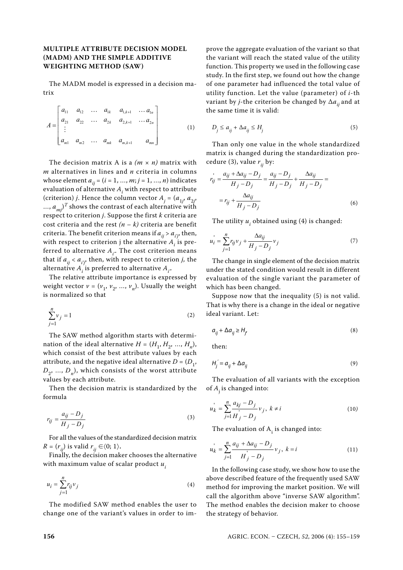#### **MULTIPLE ATTRIBUTE DECISION MODEL (MADM) AND THE SIMPLE ADDITIVE WEIGHTING METHOD (SAW)**

The MADM model is expressed in a decision matrix

$$
A = \begin{bmatrix} a_{11} & a_{12} & \dots & a_{1k} & a_{1,k+1} & \dots & a_{1n} \\ a_{21} & a_{22} & \dots & a_{2k} & a_{2,k+1} & \dots & a_{2n} \\ \vdots & \vdots & \vdots & \ddots & \vdots & \vdots \\ a_{m1} & a_{m2} & \dots & a_{mk} & a_{m,k+1} & a_{mn} \end{bmatrix}
$$
 (1)

The decision matrix A is a *(m × n)* matrix with *m* alternatives in lines and *n* criteria in columns whose element  $a_{ii} = (i = 1, ..., m; j = 1, ..., n)$  indicates evaluation of alternative  $A_{i}$  with respect to attribute (criterion) *j*. Hence the column vector  $A_j = (a_{1j}, a_{2j}, a_{2j}) = r_{ij} + \frac{\Delta a}{H_i - \Delta b}$  $\int f(x)dx = \int f(y)dx$ <br>  $\therefore a_{mj} = r_{ij} + \frac{f(y)}{H_j - D_j}$ <br>  $\therefore a_{mj} = r_{ij} + \frac{f(y)}{H_j - D_j}$ respect to criterion *j*. Suppose the first *k* criteria are cost criteria and the rest  $(n - k)$  criteria are benefit criteria. The benefit criterion means if  $a_{ii} > a_{ii}$ , then, with respect to criterion j the alternative  $A_{\vec{i}}$  is preferred to alternative  $A_i$ . The cost criterion means that if  $a_{ii} < a_{i'i'}$ , then, with respect to criterion *j*, the alternative  $A_{\overline{i}}$  is preferred to alternative  $A_{\overline{i}^{\prime \prime \prime}}$ 

The relative attribute importance is expressed by weight vector  $v = (v_1, v_2, ..., v_n)$ . Usually the weight is normalized so that

$$
\sum_{j=1}^{n} v_j = 1 \tag{2}
$$

The SAW method algorithm starts with determination of the ideal alternative  $H = (H_1, H_2, ..., H_n)$ , which consist of the best attribute values by each attribute, and the negative ideal alternative  $D = (D_1, D_2)$  $D_2$ , ...,  $D_n$ ), which consists of the worst attribute values by each attribute.

Then the decision matrix is standardized by the formula

$$
r_{ij} = \frac{a_{ij} - D_j}{H_j - D_j} \tag{3}
$$

For all the values of the standardized decision matrix  $R = (r_{ij})$  is valid  $r_{ij} \in \langle 0; 1 \rangle$ .

Finally, the decision maker chooses the alternative with maximum value of scalar product  $u_i$ 

$$
u_i = \sum_{j=1}^n r_{ij} v_j \tag{4}
$$

The modified SAW method enables the user to change one of the variant's values in order to im-

prove the aggregate evaluation of the variant so that the variant will reach the stated value of the utility function. This property we used in the following case study. In the first step, we found out how the change of one parameter had influenced the total value of utility function. Let the value (parameter) of *i*-th variant by *j*-the criterion be changed by ∆*aij* and at the same time it is valid:

$$
D_j \le a_{ij} + \Delta a_{ij} \le H_j \tag{5}
$$

Than only one value in the whole standardized matrix is changed during the standardization procedure (3), value  $r_{ii}$  by:

$$
\begin{aligned}\n\frac{\mathbf{s}}{\mathbf{s}} & r_{ij}^{'} = \frac{a_{ij} + \Delta a_{ij} - D_j}{H_j - D_j} = \frac{a_{ij} - D_j}{H_j - D_j} + \frac{\Delta a_{ij}}{H_j - D_j} = \\
\frac{\partial \mathbf{r}}{\partial \mathbf{s}} & = r_{ij} + \frac{\Delta a_{ij}}{H_j - D_j}\n\end{aligned}\n\tag{6}
$$

The utility  $u_i^{\dagger}$  obtained using (4) is changed:

$$
u'_{i} = \sum_{j=1}^{n} r_{ij} v_{j} + \frac{\Delta a_{ij}}{H_{j} - D_{j}} v_{j}
$$
(7)

The change in single element of the decision matrix under the stated condition would result in different evaluation of the single variant the parameter of which has been changed.

Suppose now that the inequality (5) is not valid. That is why there is a change in the ideal or negative ideal variant. Let:

$$
a_{ij} + \Delta a_{ij} \ge H_{f} \tag{8}
$$

then:

$$
H'_{j} = a_{ij} + \Delta a_{ij} \tag{9}
$$

The evaluation of all variants with the exception of *A*j is changed into:

$$
u'_{k} = \sum_{j=1}^{n} \frac{a_{kj} - D_{j}}{H_{j} - D_{j}} v_{j}, \ k \neq i
$$
 (10)

The evaluation of  $A_i$  is changed into:

$$
u'_{k} = \sum_{j=1}^{n} \frac{a_{ij} + \Delta a_{ij} - D_{j}}{H_{j} - D_{j}} v_{j}, \ k = i
$$
 (11)

In the following case study, we show how to use the above described feature of the frequently used SAW method for improving the market position. We will call the algorithm above "inverse SAW algorithm". The method enables the decision maker to choose the strategy of behavior.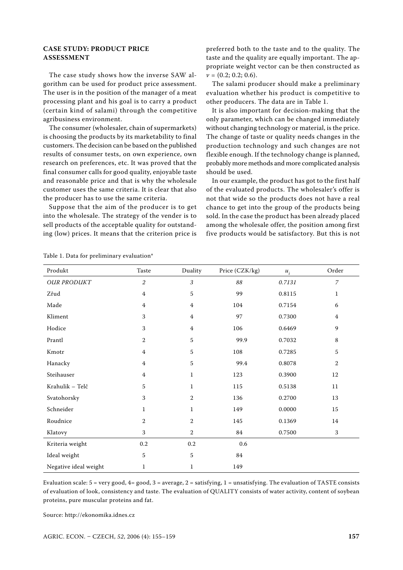### **CASE STUDY: PRODUCT PRICE ASSESSMENT**

The case study shows how the inverse SAW algorithm can be used for product price assessment. The user is in the position of the manager of a meat processing plant and his goal is to carry a product (certain kind of salami) through the competitive agribusiness environment.

The consumer (wholesaler, chain of supermarkets) is choosing the products by its marketability to final customers. The decision can be based on the published results of consumer tests, on own experience, own research on preferences, etc. It was proved that the final consumer calls for good quality, enjoyable taste and reasonable price and that is why the wholesale customer uses the same criteria. It is clear that also the producer has to use the same criteria.

Suppose that the aim of the producer is to get into the wholesale. The strategy of the vender is to sell products of the acceptable quality for outstanding (low) prices. It means that the criterion price is

preferred both to the taste and to the quality. The taste and the quality are equally important. The appropriate weight vector can be then constructed as  $v = (0.2; 0.2; 0.6).$ 

The salami producer should make a preliminary evaluation whether his product is competitive to other producers. The data are in Table 1.

It is also important for decision-making that the only parameter, which can be changed immediately without changing technology or material, is the price. The change of taste or quality needs changes in the production technology and such changes are not flexible enough. If the technology change is planned, probably more methods and more complicated analysis should be used.

In our example, the product has got to the first half of the evaluated products. The wholesaler's offer is not that wide so the products does not have a real chance to get into the group of the products being sold. In the case the product has been already placed among the wholesale offer, the position among first five products would be satisfactory. But this is not

| Produkt               | Taste          | Duality        | Price (CZK/kg) | $u_i$  | Order          |
|-----------------------|----------------|----------------|----------------|--------|----------------|
| <b>OUR PRODUKT</b>    | $\overline{2}$ | 3              | 88             | 0.7131 | $\overline{z}$ |
| Zřud                  | $\overline{4}$ | 5              | 99             | 0.8115 | $\mathbf{1}$   |
| Made                  | $\overline{4}$ | $\overline{4}$ | 104            | 0.7154 | 6              |
| Kliment               | 3              | $\overline{4}$ | 97             | 0.7300 | $\overline{4}$ |
| Hodice                | 3              | 4              | 106            | 0.6469 | 9              |
| Prantl                | $\overline{2}$ | 5              | 99.9           | 0.7032 | $\,8\,$        |
| Kmotr                 | $\overline{4}$ | 5              | 108            | 0.7285 | 5              |
| Hanacky               | $\overline{4}$ | 5              | 99.4           | 0.8078 | $\overline{2}$ |
| Steihauser            | $\bf{4}$       | 1              | 123            | 0.3900 | 12             |
| Krahulik - Telč       | 5              | 1              | 115            | 0.5138 | 11             |
| Svatohorsky           | 3              | $\overline{2}$ | 136            | 0.2700 | 13             |
| Schneider             | $\mathbf{1}$   | $\mathbf 1$    | 149            | 0.0000 | 15             |
| Roudnice              | 2              | $\overline{2}$ | 145            | 0.1369 | 14             |
| Klatovy               | 3              | $\overline{2}$ | 84             | 0.7500 | 3              |
| Kriteria weight       | $0.2\,$        | $0.2\,$        | 0.6            |        |                |
| Ideal weight          | 5              | 5              | 84             |        |                |
| Negative ideal weight | 1              | 1              | 149            |        |                |

Table 1. Data for preliminary evaluation\*

Evaluation scale:  $5 =$  very good,  $4 =$  good,  $3 =$  average,  $2 =$  satisfying,  $1 =$  unsatisfying. The evaluation of TASTE consists of evaluation of look, consistency and taste. The evaluation of QUALITY consists of water activity, content of soybean proteins, pure muscular proteins and fat.

Source: http://ekonomika.idnes.cz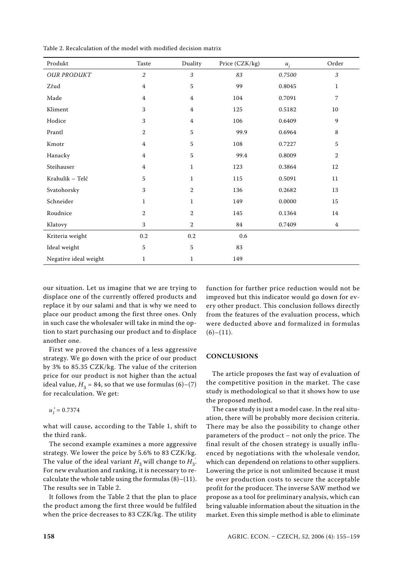Table 2. Recalculation of the model with modified decision matrix

| Produkt               | Taste          | Duality        | Price (CZK/kg) | $u_i$  | Order          |
|-----------------------|----------------|----------------|----------------|--------|----------------|
| <b>OUR PRODUKT</b>    | $\overline{2}$ | 3              | 83             | 0.7500 | $\mathfrak{Z}$ |
| Zřud                  | $\bf{4}$       | 5              | 99             | 0.8045 | $\mathbf{1}$   |
| Made                  | $\overline{4}$ | $\overline{4}$ | 104            | 0.7091 | 7              |
| Kliment               | 3              | 4              | 125            | 0.5182 | 10             |
| Hodice                | 3              | 4              | 106            | 0.6409 | 9              |
| Prantl                | $\overline{2}$ | 5              | 99.9           | 0.6964 | $\,8\,$        |
| Kmotr                 | $\overline{4}$ | 5              | 108            | 0.7227 | 5              |
| Hanacky               | $\overline{4}$ | 5              | 99.4           | 0.8009 | $\overline{2}$ |
| Steihauser            | $\overline{4}$ | $\mathbf 1$    | 123            | 0.3864 | 12             |
| Krahulik - Telč       | 5              | $\mathbf 1$    | 115            | 0.5091 | 11             |
| Svatohorsky           | 3              | $\overline{2}$ | 136            | 0.2682 | 13             |
| Schneider             | $\mathbf{1}$   | $\mathbf{1}$   | 149            | 0.0000 | 15             |
| Roudnice              | $\overline{2}$ | $\overline{2}$ | 145            | 0.1364 | 14             |
| Klatovy               | 3              | $\overline{2}$ | $84\,$         | 0.7409 | 4              |
| Kriteria weight       | $0.2\,$        | 0.2            | 0.6            |        |                |
| Ideal weight          | 5              | 5              | 83             |        |                |
| Negative ideal weight | $\mathbf 1$    | $\mathbf{1}$   | 149            |        |                |

our situation. Let us imagine that we are trying to displace one of the currently offered products and replace it by our salami and that is why we need to place our product among the first three ones. Only in such case the wholesaler will take in mind the option to start purchasing our product and to displace another one.

First we proved the chances of a less aggressive strategy. We go down with the price of our product by 3% to 85.35 CZK/kg. The value of the criterion price for our product is not higher than the actual ideal value,  $H_3 = 84$ , so that we use formulas (6)–(7) for recalculation. We get:

 $u_1' = 0.7374$ 

what will cause, according to the Table 1, shift to the third rank.

The second example examines a more aggressive strategy. We lower the price by 5.6% to 83 CZK/kg. The value of the ideal variant  $H_3$  will change to  $H_3$ . For new evaluation and ranking, it is necessary to recalculate the whole table using the formulas (8)–(11). The results see in Table 2.

It follows from the Table 2 that the plan to place the product among the first three would be fulfiled when the price decreases to 83 CZK/kg. The utility function for further price reduction would not be improved but this indicator would go down for every other product. This conclusion follows directly from the features of the evaluation process, which were deducted above and formalized in formulas  $(6)-(11)$ .

#### **CONCLUSIONS**

The article proposes the fast way of evaluation of the competitive position in the market. The case study is methodological so that it shows how to use the proposed method.

The case study is just a model case. In the real situation, there will be probably more decision criteria. There may be also the possibility to change other parameters of the product – not only the price. The final result of the chosen strategy is usually influenced by negotiations with the wholesale vendor, which can dependend on relations to other suppliers. Lowering the price is not unlimited because it must be over production costs to secure the acceptable profit for the producer. The inverse SAW method we propose as a tool for preliminary analysis, which can bring valuable information about the situation in the market. Even this simple method is able to eliminate